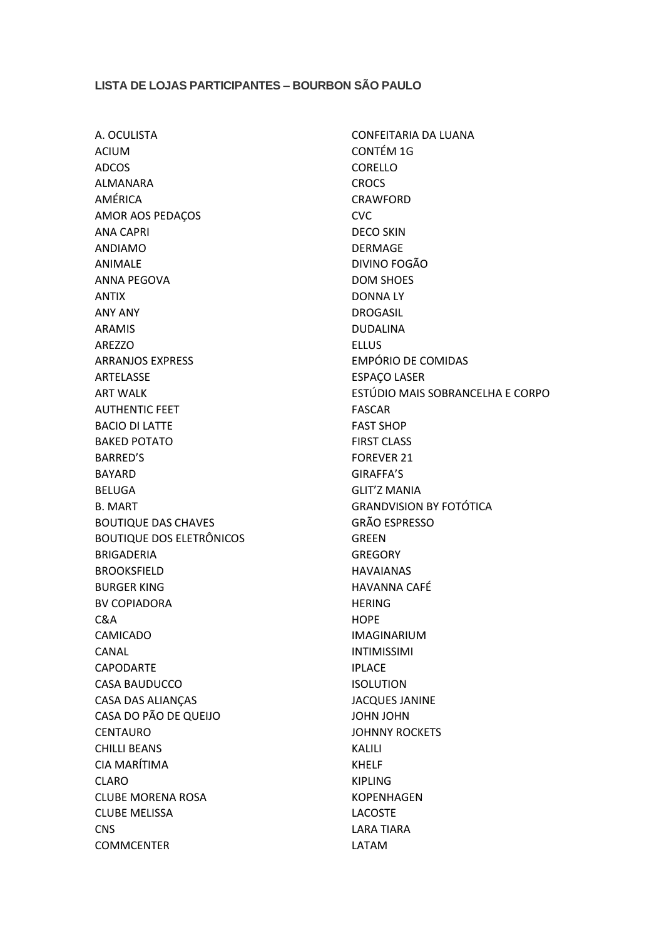## **LISTA DE LOJAS PARTICIPANTES – BOURBON SÃO PAULO**

A. OCULISTA ACIUM ADCOS ALMANARA AMÉRICA AMOR AOS PEDAÇOS ANA CAPRI ANDIAMO ANIMALE ANNA PEGOVA ANTIX ANY ANY ARAMIS AREZZO ARRANJOS EXPRESS ARTELASSE ART WALK AUTHENTIC FEET BACIO DI LATTE BAKED POTATO BARRED'S BAYARD BELUGA B. MART BOUTIQUE DAS CHAVES BOUTIQUE DOS ELETRÔNICOS BRIGADERIA BROOKSFIELD BURGER KING BV COPIADORA C&A CAMICADO CANAL CAPODARTE CASA BAUDUCCO CASA DAS ALIANÇAS CASA DO PÃO DE QUEIJO CENTAURO CHILLI BEANS CIA MARÍTIMA CLARO CLUBE MORENA ROSA CLUBE MELISSA **CNS COMMCENTER** 

CONFEITARIA DA LUANA CONTÉM 1G CORELLO **CROCS** CRAWFORD CVC DECO SKIN DERMAGE DIVINO FOGÃO DOM SHOES DONNA LY DROGASIL DUDALINA ELLUS EMPÓRIO DE COMIDAS ESPAÇO LASER ESTÚDIO MAIS SOBRANCELHA E CORPO FASCAR FAST SHOP FIRST CLASS FOREVER 21 GIRAFFA'S GLIT'Z MANIA GRANDVISION BY FOTÓTICA GRÃO ESPRESSO GREEN **GREGORY** HAVAIANAS HAVANNA CAFÉ HERING **HOPE** IMAGINARIUM INTIMISSIMI IPLACE ISOLUTION JACQUES JANINE JOHN JOHN JOHNNY ROCKETS KALILI KHELF KIPLING KOPENHAGEN LACOSTE LARA TIARA LATAM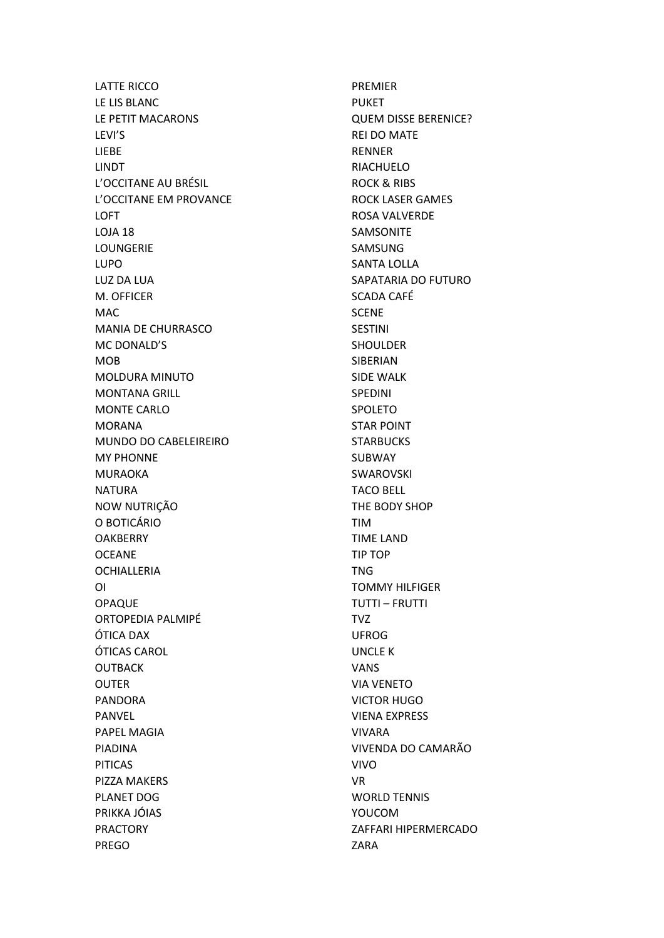LATTE RICCO LE LIS BLANC LE PETIT MACARONS LEVI'S LIEBE LINDT L'OCCITANE AU BRÉSIL L'OCCITANE EM PROVANCE LOFT LOJA 18 LOUNGERIE LUPO LUZ DA LUA M. OFFICER MAC MANIA DE CHURRASCO MC DONALD'S MOB MOLDURA MINUTO MONTANA GRILL MONTE CARLO MORANA MUNDO DO CABELEIREIRO MY PHONNE MURAOKA NATURA NOW NUTRIÇÃO O BOTICÁRIO **OAKBERRY OCEANE OCHIALLERIA** OI OPAQUE ORTOPEDIA PALMIPÉ ÓTICA DAX ÓTICAS CAROL OUTBACK OUTER PANDORA PANVEL PAPEL MAGIA PIADINA PITICAS PIZZA MAKERS PLANET DOG PRIKKA JÓIAS PRACTORY PREGO

PREMIER PUKET QUEM DISSE BERENICE? REI DO MATE RENNER RIACHUELO ROCK & RIBS ROCK LASER GAMES ROSA VALVERDE SAMSONITE SAMSUNG SANTA LOLLA SAPATARIA DO FUTURO SCADA CAFÉ **SCENE** SESTINI SHOULDER SIBERIAN SIDE WALK SPEDINI SPOLETO STAR POINT **STARBUCKS SUBWAY** SWAROVSKI TACO BELL THE BODY SHOP TIM TIME LAND TIP TOP TNG TOMMY HILFIGER TUTTI – FRUTTI TVZ UFROG UNCLE K VANS VIA VENETO VICTOR HUGO VIENA EXPRESS VIVARA VIVENDA DO CAMARÃO VIVO VR WORLD TENNIS YOUCOM ZAFFARI HIPERMERCADO ZARA